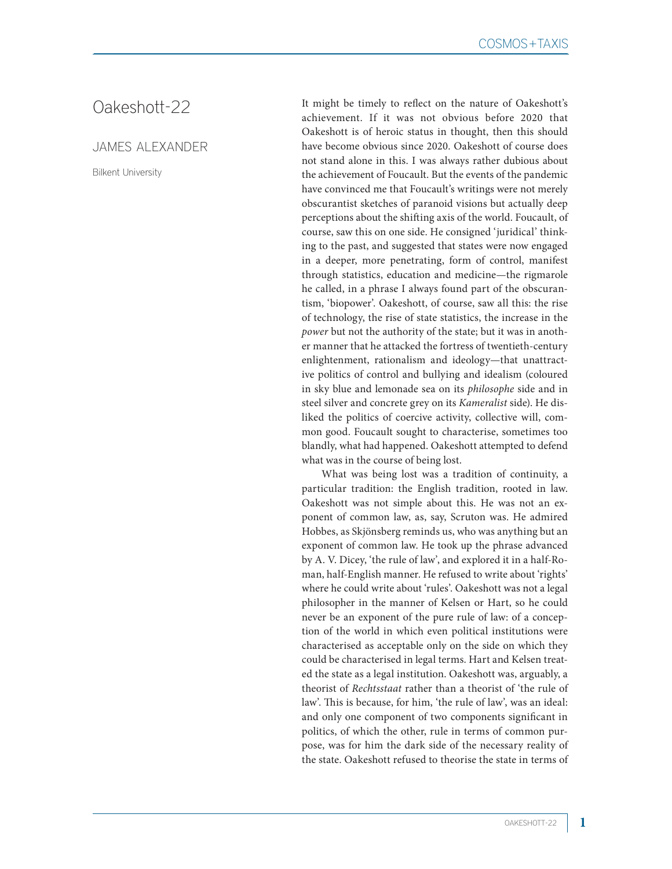## Oakeshott-22

## JAMES ALEXANDER

Bilkent University

It might be timely to reflect on the nature of Oakeshott's achievement. If it was not obvious before 2020 that Oakeshott is of heroic status in thought, then this should have become obvious since 2020. Oakeshott of course does not stand alone in this. I was always rather dubious about the achievement of Foucault. But the events of the pandemic have convinced me that Foucault's writings were not merely obscurantist sketches of paranoid visions but actually deep perceptions about the shifting axis of the world. Foucault, of course, saw this on one side. He consigned 'juridical' thinking to the past, and suggested that states were now engaged in a deeper, more penetrating, form of control, manifest through statistics, education and medicine—the rigmarole he called, in a phrase I always found part of the obscurantism, 'biopower'. Oakeshott, of course, saw all this: the rise of technology, the rise of state statistics, the increase in the *power* but not the authority of the state; but it was in another manner that he attacked the fortress of twentieth-century enlightenment, rationalism and ideology—that unattractive politics of control and bullying and idealism (coloured in sky blue and lemonade sea on its *philosophe* side and in steel silver and concrete grey on its *Kameralist* side). He disliked the politics of coercive activity, collective will, common good. Foucault sought to characterise, sometimes too blandly, what had happened. Oakeshott attempted to defend what was in the course of being lost.

What was being lost was a tradition of continuity, a particular tradition: the English tradition, rooted in law. Oakeshott was not simple about this. He was not an exponent of common law, as, say, Scruton was. He admired Hobbes, as Skjönsberg reminds us, who was anything but an exponent of common law. He took up the phrase advanced by A. V. Dicey, 'the rule of law', and explored it in a half-Roman, half-English manner. He refused to write about 'rights' where he could write about 'rules'. Oakeshott was not a legal philosopher in the manner of Kelsen or Hart, so he could never be an exponent of the pure rule of law: of a conception of the world in which even political institutions were characterised as acceptable only on the side on which they could be characterised in legal terms. Hart and Kelsen treated the state as a legal institution. Oakeshott was, arguably, a theorist of *Rechtsstaat* rather than a theorist of 'the rule of law'. This is because, for him, 'the rule of law', was an ideal: and only one component of two components significant in politics, of which the other, rule in terms of common purpose, was for him the dark side of the necessary reality of the state. Oakeshott refused to theorise the state in terms of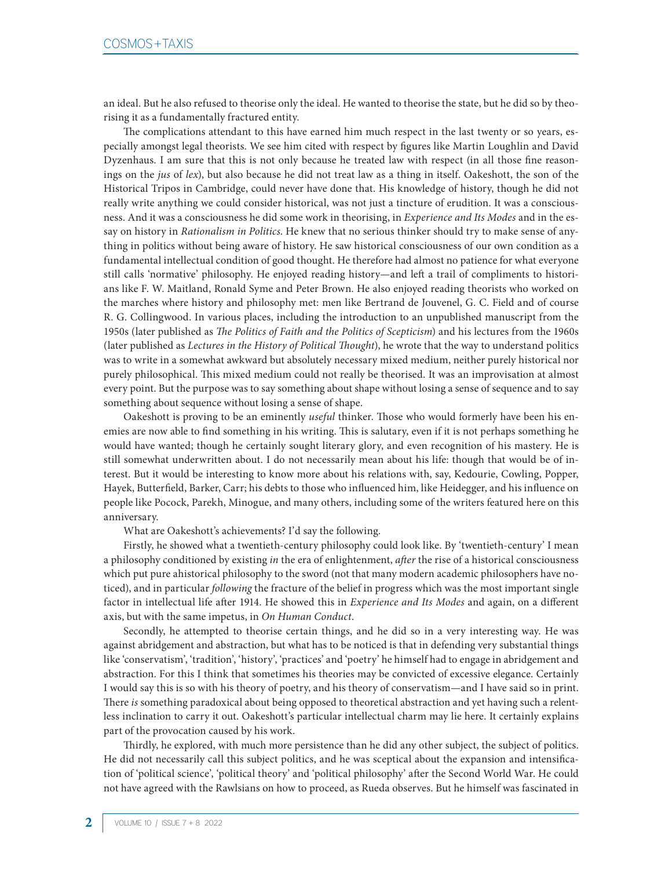an ideal. But he also refused to theorise only the ideal. He wanted to theorise the state, but he did so by theorising it as a fundamentally fractured entity.

The complications attendant to this have earned him much respect in the last twenty or so years, especially amongst legal theorists. We see him cited with respect by figures like Martin Loughlin and David Dyzenhaus. I am sure that this is not only because he treated law with respect (in all those fine reasonings on the *jus* of *lex*), but also because he did not treat law as a thing in itself. Oakeshott, the son of the Historical Tripos in Cambridge, could never have done that. His knowledge of history, though he did not really write anything we could consider historical, was not just a tincture of erudition. It was a consciousness. And it was a consciousness he did some work in theorising, in *Experience and Its Modes* and in the essay on history in *Rationalism in Politics*. He knew that no serious thinker should try to make sense of anything in politics without being aware of history. He saw historical consciousness of our own condition as a fundamental intellectual condition of good thought. He therefore had almost no patience for what everyone still calls 'normative' philosophy. He enjoyed reading history—and left a trail of compliments to historians like F. W. Maitland, Ronald Syme and Peter Brown. He also enjoyed reading theorists who worked on the marches where history and philosophy met: men like Bertrand de Jouvenel, G. C. Field and of course R. G. Collingwood. In various places, including the introduction to an unpublished manuscript from the 1950s (later published as *The Politics of Faith and the Politics of Scepticism*) and his lectures from the 1960s (later published as *Lectures in the History of Political Thought*), he wrote that the way to understand politics was to write in a somewhat awkward but absolutely necessary mixed medium, neither purely historical nor purely philosophical. This mixed medium could not really be theorised. It was an improvisation at almost every point. But the purpose was to say something about shape without losing a sense of sequence and to say something about sequence without losing a sense of shape.

Oakeshott is proving to be an eminently *useful* thinker. Those who would formerly have been his enemies are now able to find something in his writing. This is salutary, even if it is not perhaps something he would have wanted; though he certainly sought literary glory, and even recognition of his mastery. He is still somewhat underwritten about. I do not necessarily mean about his life: though that would be of interest. But it would be interesting to know more about his relations with, say, Kedourie, Cowling, Popper, Hayek, Butterfield, Barker, Carr; his debts to those who influenced him, like Heidegger, and his influence on people like Pocock, Parekh, Minogue, and many others, including some of the writers featured here on this anniversary.

What are Oakeshott's achievements? I'd say the following.

Firstly, he showed what a twentieth-century philosophy could look like. By 'twentieth-century' I mean a philosophy conditioned by existing *in* the era of enlightenment, *after* the rise of a historical consciousness which put pure ahistorical philosophy to the sword (not that many modern academic philosophers have noticed), and in particular *following* the fracture of the belief in progress which was the most important single factor in intellectual life after 1914. He showed this in *Experience and Its Modes* and again, on a different axis, but with the same impetus, in *On Human Conduct*.

Secondly, he attempted to theorise certain things, and he did so in a very interesting way. He was against abridgement and abstraction, but what has to be noticed is that in defending very substantial things like 'conservatism', 'tradition', 'history', 'practices' and 'poetry' he himself had to engage in abridgement and abstraction. For this I think that sometimes his theories may be convicted of excessive elegance. Certainly I would say this is so with his theory of poetry, and his theory of conservatism—and I have said so in print. There *is* something paradoxical about being opposed to theoretical abstraction and yet having such a relentless inclination to carry it out. Oakeshott's particular intellectual charm may lie here. It certainly explains part of the provocation caused by his work.

Thirdly, he explored, with much more persistence than he did any other subject, the subject of politics. He did not necessarily call this subject politics, and he was sceptical about the expansion and intensification of 'political science', 'political theory' and 'political philosophy' after the Second World War. He could not have agreed with the Rawlsians on how to proceed, as Rueda observes. But he himself was fascinated in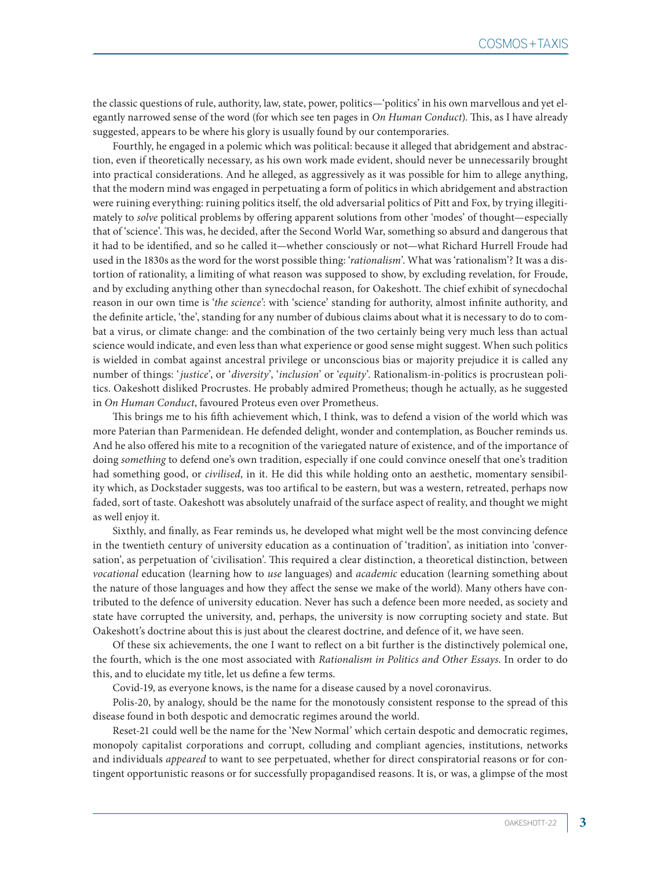the classic questions of rule, authority, law, state, power, politics—'politics' in his own marvellous and yet elegantly narrowed sense of the word (for which see ten pages in *On Human Conduct*). This, as I have already suggested, appears to be where his glory is usually found by our contemporaries.

Fourthly, he engaged in a polemic which was political: because it alleged that abridgement and abstraction, even if theoretically necessary, as his own work made evident, should never be unnecessarily brought into practical considerations. And he alleged, as aggressively as it was possible for him to allege anything, that the modern mind was engaged in perpetuating a form of politics in which abridgement and abstraction were ruining everything: ruining politics itself, the old adversarial politics of Pitt and Fox, by trying illegitimately to *solve* political problems by offering apparent solutions from other 'modes' of thought—especially that of 'science'. This was, he decided, after the Second World War, something so absurd and dangerous that it had to be identified, and so he called it—whether consciously or not—what Richard Hurrell Froude had used in the 1830s as the word for the worst possible thing: '*rationalism*'. What was 'rationalism'? It was a distortion of rationality, a limiting of what reason was supposed to show, by excluding revelation, for Froude, and by excluding anything other than synecdochal reason, for Oakeshott. The chief exhibit of synecdochal reason in our own time is '*the science*': with 'science' standing for authority, almost infinite authority, and the definite article, 'the', standing for any number of dubious claims about what it is necessary to do to combat a virus, or climate change: and the combination of the two certainly being very much less than actual science would indicate, and even less than what experience or good sense might suggest. When such politics is wielded in combat against ancestral privilege or unconscious bias or majority prejudice it is called any number of things: '*justice*', or '*diversity*', '*inclusion*' or '*equity*'. Rationalism-in-politics is procrustean politics. Oakeshott disliked Procrustes. He probably admired Prometheus; though he actually, as he suggested in *On Human Conduct*, favoured Proteus even over Prometheus.

This brings me to his fifth achievement which, I think, was to defend a vision of the world which was more Paterian than Parmenidean. He defended delight, wonder and contemplation, as Boucher reminds us. And he also offered his mite to a recognition of the variegated nature of existence, and of the importance of doing *something* to defend one's own tradition, especially if one could convince oneself that one's tradition had something good, or *civilised*, in it. He did this while holding onto an aesthetic, momentary sensibility which, as Dockstader suggests, was too artifical to be eastern, but was a western, retreated, perhaps now faded, sort of taste. Oakeshott was absolutely unafraid of the surface aspect of reality, and thought we might as well enjoy it.

Sixthly, and finally, as Fear reminds us, he developed what might well be the most convincing defence in the twentieth century of university education as a continuation of 'tradition', as initiation into 'conversation', as perpetuation of 'civilisation'. This required a clear distinction, a theoretical distinction, between *vocational* education (learning how to *use* languages) and *academic* education (learning something about the nature of those languages and how they affect the sense we make of the world). Many others have contributed to the defence of university education. Never has such a defence been more needed, as society and state have corrupted the university, and, perhaps, the university is now corrupting society and state. But Oakeshott's doctrine about this is just about the clearest doctrine, and defence of it, we have seen.

Of these six achievements, the one I want to reflect on a bit further is the distinctively polemical one, the fourth, which is the one most associated with *Rationalism in Politics and Other Essays*. In order to do this, and to elucidate my title, let us define a few terms.

Covid-19, as everyone knows, is the name for a disease caused by a novel coronavirus.

Polis-20, by analogy, should be the name for the monotously consistent response to the spread of this disease found in both despotic and democratic regimes around the world.

Reset-21 could well be the name for the 'New Normal' which certain despotic and democratic regimes, monopoly capitalist corporations and corrupt, colluding and compliant agencies, institutions, networks and individuals *appeared* to want to see perpetuated, whether for direct conspiratorial reasons or for contingent opportunistic reasons or for successfully propagandised reasons. It is, or was, a glimpse of the most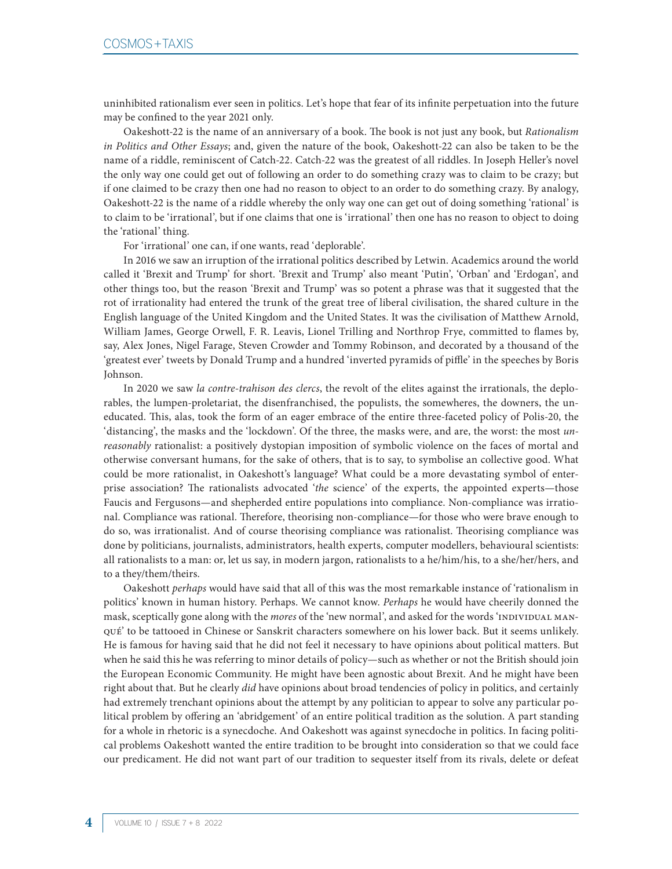uninhibited rationalism ever seen in politics. Let's hope that fear of its infinite perpetuation into the future may be confined to the year 2021 only.

Oakeshott-22 is the name of an anniversary of a book. The book is not just any book, but *Rationalism in Politics and Other Essays*; and, given the nature of the book, Oakeshott-22 can also be taken to be the name of a riddle, reminiscent of Catch-22. Catch-22 was the greatest of all riddles. In Joseph Heller's novel the only way one could get out of following an order to do something crazy was to claim to be crazy; but if one claimed to be crazy then one had no reason to object to an order to do something crazy. By analogy, Oakeshott-22 is the name of a riddle whereby the only way one can get out of doing something 'rational' is to claim to be 'irrational', but if one claims that one is 'irrational' then one has no reason to object to doing the 'rational' thing.

For 'irrational' one can, if one wants, read 'deplorable'.

In 2016 we saw an irruption of the irrational politics described by Letwin. Academics around the world called it 'Brexit and Trump' for short. 'Brexit and Trump' also meant 'Putin', 'Orban' and 'Erdogan', and other things too, but the reason 'Brexit and Trump' was so potent a phrase was that it suggested that the rot of irrationality had entered the trunk of the great tree of liberal civilisation, the shared culture in the English language of the United Kingdom and the United States. It was the civilisation of Matthew Arnold, William James, George Orwell, F. R. Leavis, Lionel Trilling and Northrop Frye, committed to flames by, say, Alex Jones, Nigel Farage, Steven Crowder and Tommy Robinson, and decorated by a thousand of the 'greatest ever' tweets by Donald Trump and a hundred 'inverted pyramids of piffle' in the speeches by Boris Johnson.

In 2020 we saw *la contre-trahison des clercs*, the revolt of the elites against the irrationals, the deplorables, the lumpen-proletariat, the disenfranchised, the populists, the somewheres, the downers, the uneducated. This, alas, took the form of an eager embrace of the entire three-faceted policy of Polis-20, the 'distancing', the masks and the 'lockdown'. Of the three, the masks were, and are, the worst: the most *unreasonably* rationalist: a positively dystopian imposition of symbolic violence on the faces of mortal and otherwise conversant humans, for the sake of others, that is to say, to symbolise an collective good. What could be more rationalist, in Oakeshott's language? What could be a more devastating symbol of enterprise association? The rationalists advocated '*the* science' of the experts, the appointed experts—those Faucis and Fergusons—and shepherded entire populations into compliance. Non-compliance was irrational. Compliance was rational. Therefore, theorising non-compliance—for those who were brave enough to do so, was irrationalist. And of course theorising compliance was rationalist. Theorising compliance was done by politicians, journalists, administrators, health experts, computer modellers, behavioural scientists: all rationalists to a man: or, let us say, in modern jargon, rationalists to a he/him/his, to a she/her/hers, and to a they/them/theirs.

Oakeshott *perhaps* would have said that all of this was the most remarkable instance of 'rationalism in politics' known in human history. Perhaps. We cannot know. *Perhaps* he would have cheerily donned the mask, sceptically gone along with the *mores* of the 'new normal', and asked for the words 'INDIVIDUAL MANqué' to be tattooed in Chinese or Sanskrit characters somewhere on his lower back. But it seems unlikely. He is famous for having said that he did not feel it necessary to have opinions about political matters. But when he said this he was referring to minor details of policy—such as whether or not the British should join the European Economic Community. He might have been agnostic about Brexit. And he might have been right about that. But he clearly *did* have opinions about broad tendencies of policy in politics, and certainly had extremely trenchant opinions about the attempt by any politician to appear to solve any particular political problem by offering an 'abridgement' of an entire political tradition as the solution. A part standing for a whole in rhetoric is a synecdoche. And Oakeshott was against synecdoche in politics. In facing political problems Oakeshott wanted the entire tradition to be brought into consideration so that we could face our predicament. He did not want part of our tradition to sequester itself from its rivals, delete or defeat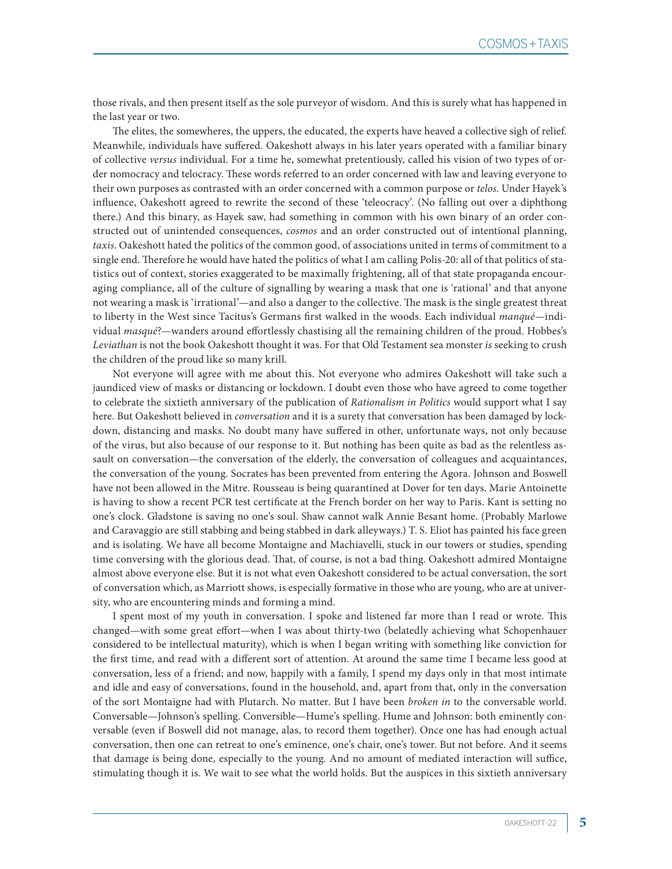those rivals, and then present itself as the sole purveyor of wisdom. And this is surely what has happened in the last year or two.

The elites, the somewheres, the uppers, the educated, the experts have heaved a collective sigh of relief. Meanwhile, individuals have suffered. Oakeshott always in his later years operated with a familiar binary of collective *versus* individual. For a time he, somewhat pretentiously, called his vision of two types of order nomocracy and telocracy. These words referred to an order concerned with law and leaving everyone to their own purposes as contrasted with an order concerned with a common purpose or *telos*. Under Hayek's influence, Oakeshott agreed to rewrite the second of these 'teleocracy'. (No falling out over a diphthong there.) And this binary, as Hayek saw, had something in common with his own binary of an order constructed out of unintended consequences, *cosmos* and an order constructed out of intentional planning, *taxis*. Oakeshott hated the politics of the common good, of associations united in terms of commitment to a single end. Therefore he would have hated the politics of what I am calling Polis-20: all of that politics of statistics out of context, stories exaggerated to be maximally frightening, all of that state propaganda encouraging compliance, all of the culture of signalling by wearing a mask that one is 'rational' and that anyone not wearing a mask is 'irrational'—and also a danger to the collective. The mask is the single greatest threat to liberty in the West since Tacitus's Germans first walked in the woods. Each individual *manqué*—individual *masqué*?—wanders around effortlessly chastising all the remaining children of the proud. Hobbes's *Leviathan* is not the book Oakeshott thought it was. For that Old Testament sea monster *is* seeking to crush the children of the proud like so many krill.

Not everyone will agree with me about this. Not everyone who admires Oakeshott will take such a jaundiced view of masks or distancing or lockdown. I doubt even those who have agreed to come together to celebrate the sixtieth anniversary of the publication of *Rationalism in Politics* would support what I say here. But Oakeshott believed in *conversation* and it is a surety that conversation has been damaged by lockdown, distancing and masks. No doubt many have suffered in other, unfortunate ways, not only because of the virus, but also because of our response to it. But nothing has been quite as bad as the relentless assault on conversation—the conversation of the elderly, the conversation of colleagues and acquaintances, the conversation of the young. Socrates has been prevented from entering the Agora. Johnson and Boswell have not been allowed in the Mitre. Rousseau is being quarantined at Dover for ten days. Marie Antoinette is having to show a recent PCR test certificate at the French border on her way to Paris. Kant is setting no one's clock. Gladstone is saving no one's soul. Shaw cannot walk Annie Besant home. (Probably Marlowe and Caravaggio are still stabbing and being stabbed in dark alleyways.) T. S. Eliot has painted his face green and is isolating. We have all become Montaigne and Machiavelli, stuck in our towers or studies, spending time conversing with the glorious dead. That, of course, is not a bad thing. Oakeshott admired Montaigne almost above everyone else. But it is not what even Oakeshott considered to be actual conversation, the sort of conversation which, as Marriott shows, is especially formative in those who are young, who are at university, who are encountering minds and forming a mind.

I spent most of my youth in conversation. I spoke and listened far more than I read or wrote. This changed—with some great effort—when I was about thirty-two (belatedly achieving what Schopenhauer considered to be intellectual maturity), which is when I began writing with something like conviction for the first time, and read with a different sort of attention. At around the same time I became less good at conversation, less of a friend; and now, happily with a family, I spend my days only in that most intimate and idle and easy of conversations, found in the household, and, apart from that, only in the conversation of the sort Montaigne had with Plutarch. No matter. But I have been *broken in* to the conversable world. Conversable—Johnson's spelling. Conversible—Hume's spelling. Hume and Johnson: both eminently conversable (even if Boswell did not manage, alas, to record them together). Once one has had enough actual conversation, then one can retreat to one's eminence, one's chair, one's tower. But not before. And it seems that damage is being done, especially to the young. And no amount of mediated interaction will suffice, stimulating though it is. We wait to see what the world holds. But the auspices in this sixtieth anniversary